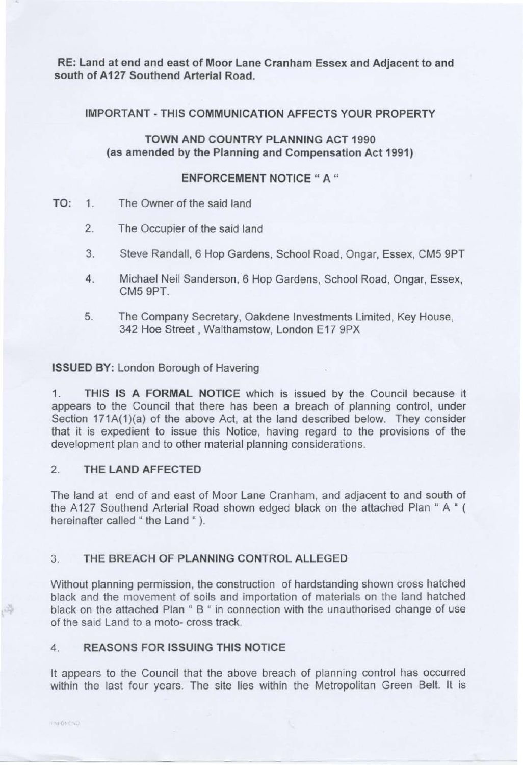RE: Land at end and east of Moor Lane Cranham Essex and Adjacent to and south of A127 Southend Arterial Road.

## IMPORTANT-THIS COMMUNICATION AFFECTS YOUR PROPERTY

# TOWN AND COUNTRY PLANNING ACT 1990 (as amended by the Planning and Compensation Act 1991)

## ENFORCEMENT NOTICE " A "

- TO: 1. The Owner of the said land
	- 2. The Occupier of the said land
	- 3. Steve Randall, 6 Hop Gardens, School Road, Ongar, Essex, CM5 9PT
	- 4. Michael Neil Sanderson, 6 Hop Gardens, School Road, Ongar, Essex, CMS 9PT.
	- 5. The Company Secretary, Oakdene Investments Limited, Key House, 342 Hoe Street, Walthamstow, London E17 9PX

## ISSUED BY: London Borough of Havering

1. THIS IS A FORMAL NOTICE which is issued by the Council because it appears to the Council that there has been a breach of planning control, under Section 171A(1)(a) of the above Act, at the land described below. They consider that it is expedient to issue this Notice, having regard to the provisions of the development plan and to other material planning considerations.

# 2. THE LAND AFFECTED

The land at end of and east of Moor Lane Cranham, and adjacent to and south of the A127 Southend Arterial Road shown edged black on the attached Plan "A " hereinafter called " the Land ").

# 3. THE BREACH OF PLANNING CONTROL ALLEGED

Without planning permission, the construction of hardstanding shown cross hatched black and the movement of soils and importation of materials on the land hatched black on the attached Plan " B " in connection with the unauthorised change of use of the said Land to a moto- cross track.

# 4. REASONS FOR ISSUING THIS NOTICE

It appears to the Council that the above breach of planning control has occurred within the last four years. The site lies within the Metropolitan Green Belt. It is

3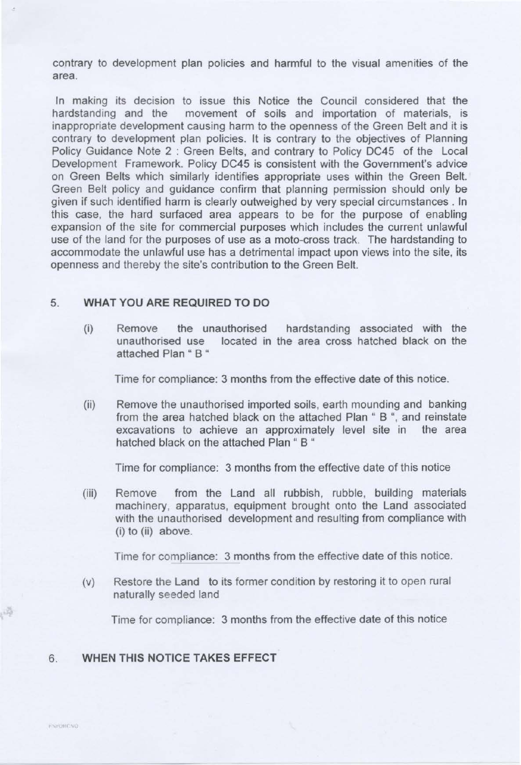contrary to development plan policies and harmful to the visual amenities of the area.

In making its decision to issue this Notice the Council considered that the hardstanding and the movement of soils and importation of materials, is inappropriate development causing harm to the openness of the Green Belt and it is contrary to development plan policies. It is contrary to the objectives of Planning Policy Guidance Note 2 : Green Belts, and contrary to Policy DC45 of the Local Development Framework. Policy DC45 is consistent with the Government's advice on Green Belts which similarly identifies appropriate uses within the Green Belt. Green Belt policy and guidance confirm that planning permission should only be given if such identified harm is clearly outweighed by very special circumstances . In this case, the hard surfaced area appears to be for the purpose of enabling expansion of the site for commercial purposes which includes the current unlawful use of the land for the purposes of use as a moto-cross track. The hardstanding to accommodate the unlawful use has a detrimental impact upon views into the site, its openness and thereby the site's contribution to the Green Belt.

# 5. **WHAT YOU ARE REQUIRED TO DO**

(i) Remove the unauthorised hardstanding associated with the unauthorised use located in the area cross hatched black on the attached Plan " B "

Time for compliance: 3 months from the effective date of this notice.

(ii) Remove the unauthorised imported soils, earth mounding and banking from the area hatched black on the attached Plan " B ", and reinstate excavations to achieve an approximately level site in the area hatched black on the attached Plan " B "

Time for compliance: 3 months from the effective date of this notice

(iii) Remove from the Land all rubbish, rubble, building materials machinery, apparatus, equipment brought onto the Land associated with the unauthorised development and resulting from compliance with (i) to (ii) above.

Time for compliance: 3 months from the effective date of this notice.

(v) Restore the Land to its former condition by restoring it to open rural naturally seeded land

Time for compliance: 3 months from the effective date of this notice

# 6. **WHEN THIS NOTICE TAKES EFFECT**

3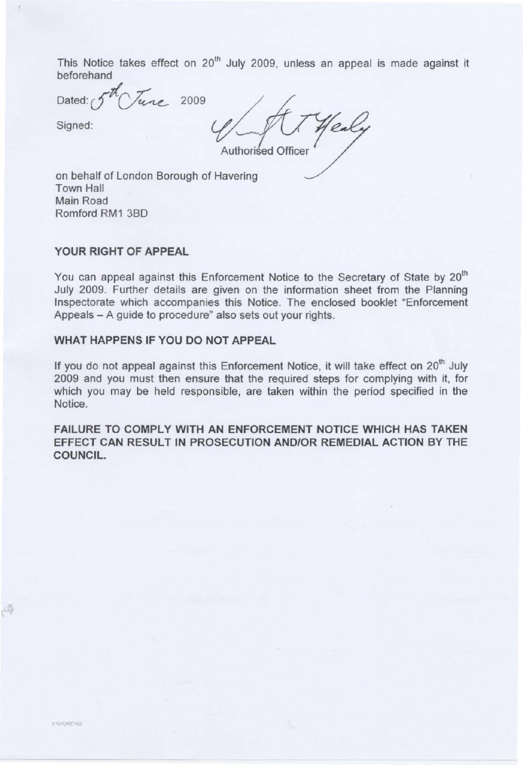This Notice takes effect on  $20<sup>th</sup>$  July 2009, unless an appeal is made against it beforehand

Dated:  $\int$   $\mu_{\ell}$  2009

Signed:

Authorised Officer

on behalf of London Borough of Havering Town Hall Main Road Romford RM1 380

#### **YOUR RIGHT OF APPEAL**

You can appeal against this Enforcement Notice to the Secretary of State by 20<sup>th</sup> July 2009. Further details are given on the information sheet from the Planning Inspectorate which accompanies this Notice. The enclosed booklet "Enforcement Appeals - A guide to procedure" also sets out your rights.

# **WHAT HAPPENS IF YOU DO NOT APPEAL**

If you do not appeal against this Enforcement Notice, it will take effect on 20<sup>th</sup> July 2009 and you must then ensure that the required steps for complying with it, for which you may be held responsible, are taken within the period specified in the Notice.

**FAILURE TO COMPLY WITH AN ENFORCEMENT NOTICE WHICH HAS TAKEN EFFECT CAN RESULT IN PROSECUTION AND/OR REMEDIAL ACTION BY THE COUNCIL.** 

3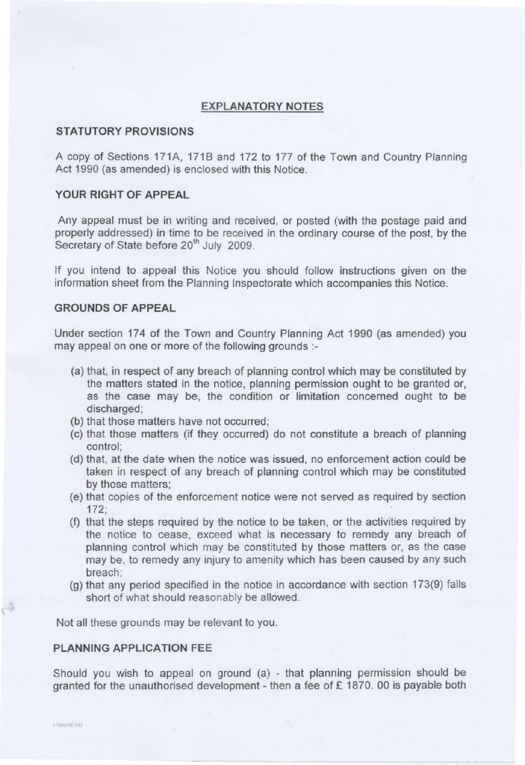## **EXPLANATORY NOTES**

#### **STATUTORY PROVISIONS**

A copy of Sections 171A, 1718 and 172 to 177 of the Town and Country Planning Act 1990 (as amended) is enclosed with this Notice.

## **YOUR RIGHT OF APPEAL**

Any appeal must be in writing and received, or posted (with the postage paid and properly addressed) in time to be received in the ordinary course of the post, by the Secretary of State before 20<sup>th</sup> July 2009.

If you intend to appeal this Notice you should follow instructions given on the information sheet from the Planning Inspectorate which accompanies this Notice.

#### **GROUNDS OF APPEAL**

Under section 174 of the Town and Country Planning Act 1990 (as amended) you may appeal on one or more of the following grounds :

- (a) that, in respect of any breach of planning control which may be constituted by the matters stated in the notice, planning permission ought to be granted or, as the case may be, the condition or limitation concerned ought to be discharged;
- (b) that those matters have not occurred;
- (c) that those matters (if they occurred) do not constitute a breach of planning control;
- (d) that, at the date when the notice was issued, no enforcement action could be taken in respect of any breach of planning control which may be constituted by those matters;
- (e) that copies of the enforcement notice were not served as required by section 172;
- (f) that the steps required by the notice to be taken, or the activities required by the notice to cease, exceed what is necessary to remedy any breach of planning control which may be constituted by those matters or, as the case may be, to remedy any injury to amenity which has been caused by any such breach;
- (g) that any period specified in the notice in accordance with section 173(9) falls short of what should reasonably be allowed.

Not all these grounds may be relevant to you.

## **PLANNING APPLICATION FEE**

Should you wish to appeal on ground (a) - that planning permission should be granted for the unauthorised development - then a fee of£ 1870. 00 is payable both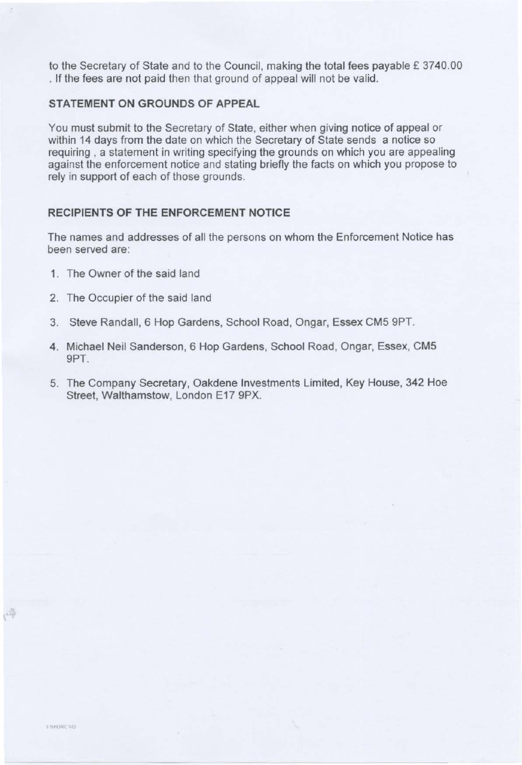to the Secretary of State and to the Council, making the total fees payable £ 3740.00 . If the fees are not paid then that ground of appeal will not be valid.

# **STATEMENT ON GROUNDS OF APPEAL**

You must submit to the Secretary of State, either when giving notice of appeal or within 14 days from the date on which the Secretary of State sends a notice so requiring , a statement in writing specifying the grounds on which you are appealing against the enforcement notice and stating briefly the facts on which you propose to rely in support of each of those grounds.

## **RECIPIENTS OF THE ENFORCEMENT NOTICE**

The names and addresses of all the persons on whom the Enforcement Notice has been served are:

- 1. The Owner of the said land
- 2. The Occupier of the said land
- 3. Steve Randall, 6 Hop Gardens, School Road, Ongar, Essex CM5 9PT.
- 4. Michael Neil Sanderson, 6 Hop Gardens, School Road, Ongar, Essex, CM5 9PT.
- 5. The Company Secretary, Oakdene Investments Limited, Key House, 342 Hoe Street, Walthamstow, London E17 9PX.

i,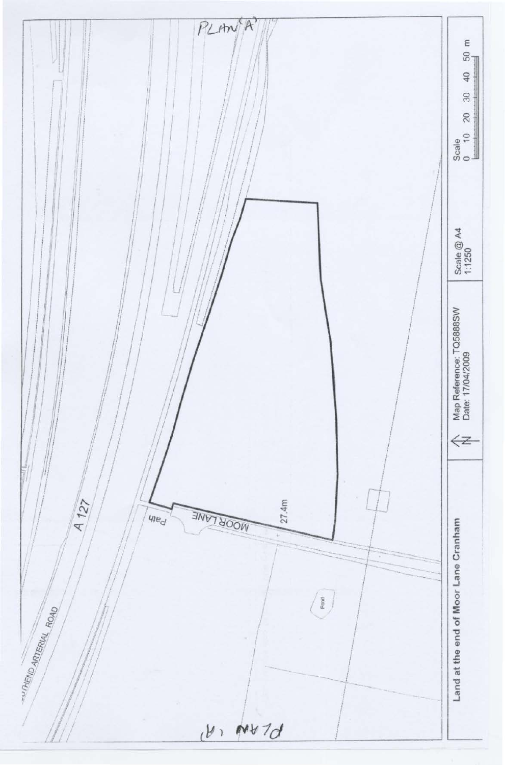